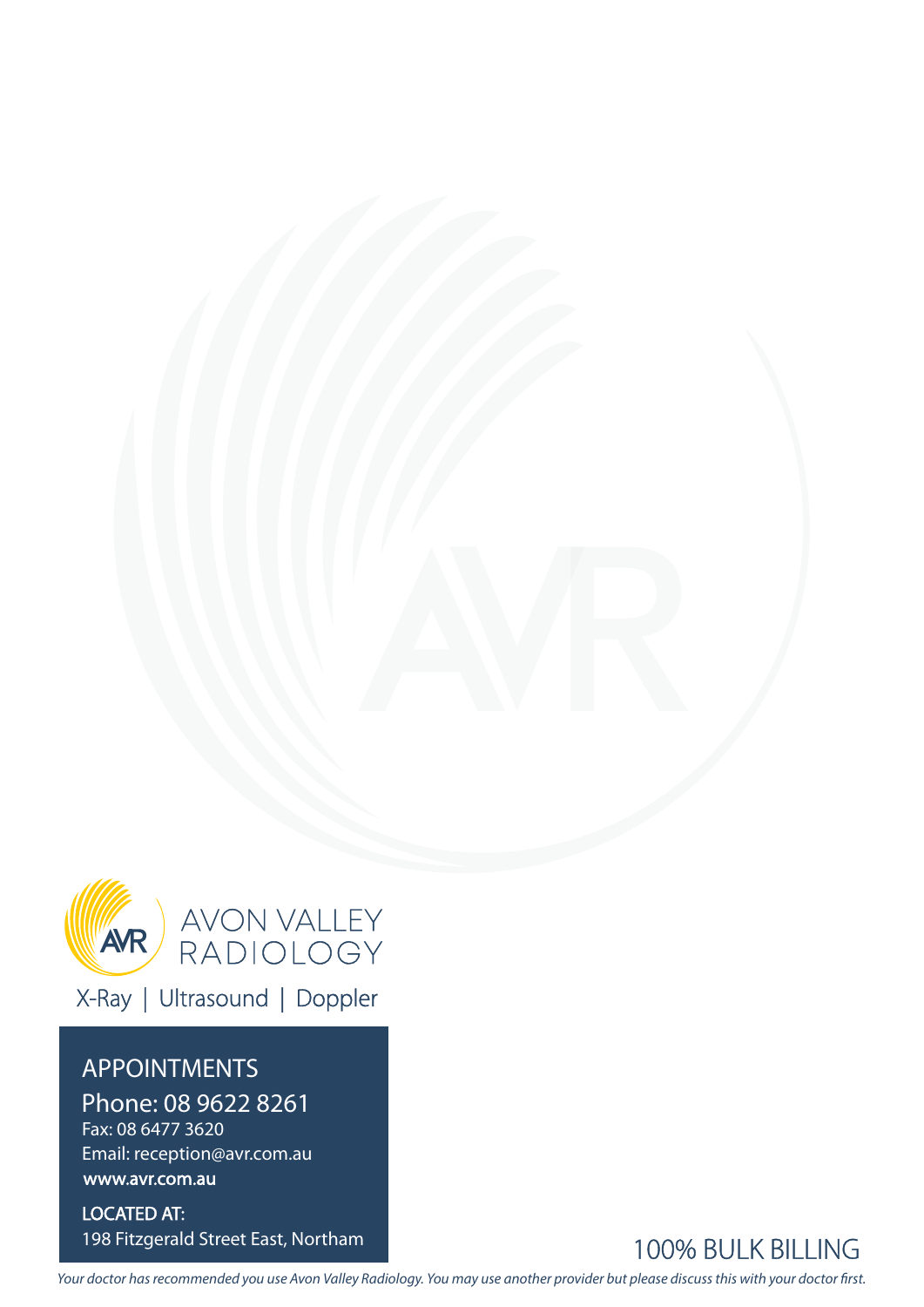

X-Ray | Ultrasound | Doppler

### APPOINTMENTS

Phone: 08 9622 8261 Fax: 08 6477 3620 Email: reception@avr.com.au

www.avr.com.au

LOCATED AT: 198 Fitzgerald Street East, Northam



Your doctor has recommended you use Avon Valley Radiology. You may use another provider but please discuss this with your doctor first.